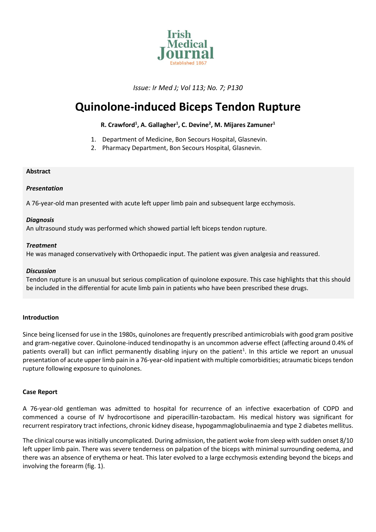

*Issue: Ir Med J; Vol 113; No. 7; P130*

# **Quinolone-induced Biceps Tendon Rupture**

# **R. Crawford<sup>1</sup> , A. Gallagher<sup>1</sup> , C. Devine<sup>2</sup> , M. Mijares Zamuner<sup>1</sup>**

- 1. Department of Medicine, Bon Secours Hospital, Glasnevin.
- 2. Pharmacy Department, Bon Secours Hospital, Glasnevin.

## **Abstract**

## *Presentation*

A 76-year-old man presented with acute left upper limb pain and subsequent large ecchymosis.

## *Diagnosis*

An ultrasound study was performed which showed partial left biceps tendon rupture.

#### *Treatment*

He was managed conservatively with Orthopaedic input. The patient was given analgesia and reassured.

#### *Discussion*

Tendon rupture is an unusual but serious complication of quinolone exposure. This case highlights that this should be included in the differential for acute limb pain in patients who have been prescribed these drugs.

# **Introduction**

Since being licensed for use in the 1980s, quinolones are frequently prescribed antimicrobials with good gram positive and gram-negative cover. Quinolone-induced tendinopathy is an uncommon adverse effect (affecting around 0.4% of patients overall) but can inflict permanently disabling injury on the patient<sup>1</sup>. In this article we report an unusual presentation of acute upper limb pain in a 76-year-old inpatient with multiple comorbidities; atraumatic biceps tendon rupture following exposure to quinolones.

#### **Case Report**

A 76-year-old gentleman was admitted to hospital for recurrence of an infective exacerbation of COPD and commenced a course of IV hydrocortisone and piperacillin-tazobactam. His medical history was significant for recurrent respiratory tract infections, chronic kidney disease, hypogammaglobulinaemia and type 2 diabetes mellitus.

The clinical course was initially uncomplicated. During admission, the patient woke from sleep with sudden onset 8/10 left upper limb pain. There was severe tenderness on palpation of the biceps with minimal surrounding oedema, and there was an absence of erythema or heat. This later evolved to a large ecchymosis extending beyond the biceps and involving the forearm (fig. 1).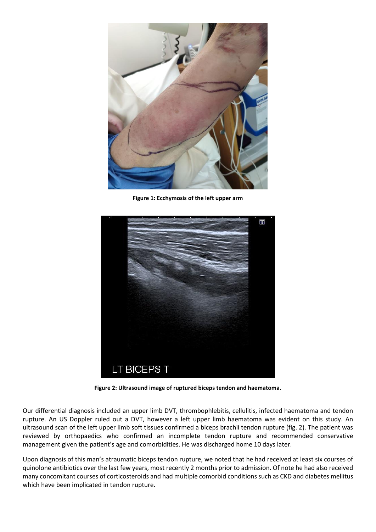

**Figure 1: Ecchymosis of the left upper arm**



**Figure 2: Ultrasound image of ruptured biceps tendon and haematoma.**

Our differential diagnosis included an upper limb DVT, thrombophlebitis, cellulitis, infected haematoma and tendon rupture. An US Doppler ruled out a DVT, however a left upper limb haematoma was evident on this study. An ultrasound scan of the left upper limb soft tissues confirmed a biceps brachii tendon rupture (fig. 2). The patient was reviewed by orthopaedics who confirmed an incomplete tendon rupture and recommended conservative management given the patient's age and comorbidities. He was discharged home 10 days later.

Upon diagnosis of this man's atraumatic biceps tendon rupture, we noted that he had received at least six courses of quinolone antibiotics over the last few years, most recently 2 months prior to admission. Of note he had also received many concomitant courses of corticosteroids and had multiple comorbid conditions such as CKD and diabetes mellitus which have been implicated in tendon rupture.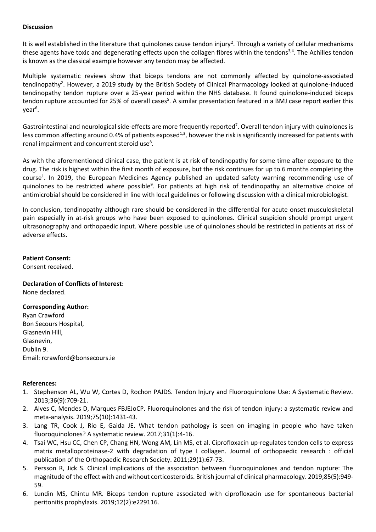#### **Discussion**

It is well established in the literature that quinolones cause tendon injury<sup>2</sup>. Through a variety of cellular mechanisms these agents have toxic and degenerating effects upon the collagen fibres within the tendons<sup>3,4</sup>. The Achilles tendon is known as the classical example however any tendon may be affected.

Multiple systematic reviews show that biceps tendons are not commonly affected by quinolone-associated tendinopathy<sup>2</sup>. However, a 2019 study by the British Society of Clinical Pharmacology looked at quinolone-induced tendinopathy tendon rupture over a 25-year period within the NHS database. It found quinolone-induced biceps tendon rupture accounted for 25% of overall cases<sup>5</sup>. A similar presentation featured in a BMJ case report earlier this year<sup>6</sup>.

Gastrointestinal and neurological side-effects are more frequently reported<sup>7</sup>. Overall tendon injury with quinolones is less common affecting around 0.4% of patients exposed<sup>1,3</sup>, however the risk is significantly increased for patients with renal impairment and concurrent steroid use<sup>8</sup>.

As with the aforementioned clinical case, the patient is at risk of tendinopathy for some time after exposure to the drug. The risk is highest within the first month of exposure, but the risk continues for up to 6 months completing the course<sup>1</sup>. In 2019, the European Medicines Agency published an updated safety warning recommending use of quinolones to be restricted where possible<sup>9</sup>. For patients at high risk of tendinopathy an alternative choice of antimicrobial should be considered in line with local guidelines or following discussion with a clinical microbiologist.

In conclusion, tendinopathy although rare should be considered in the differential for acute onset musculoskeletal pain especially in at-risk groups who have been exposed to quinolones. Clinical suspicion should prompt urgent ultrasonography and orthopaedic input. Where possible use of quinolones should be restricted in patients at risk of adverse effects.

## **Patient Consent:**

Consent received.

# **Declaration of Conflicts of Interest:**

None declared.

# **Corresponding Author:**

Ryan Crawford Bon Secours Hospital, Glasnevin Hill, Glasnevin, Dublin 9. Email: [rcrawford@bonsecours.ie](mailto:rcrawford@bonsecours.ie)

# **References:**

- 1. Stephenson AL, Wu W, Cortes D, Rochon PAJDS. Tendon Injury and Fluoroquinolone Use: A Systematic Review. 2013;36(9):709-21.
- 2. Alves C, Mendes D, Marques FBJEJoCP. Fluoroquinolones and the risk of tendon injury: a systematic review and meta-analysis. 2019;75(10):1431-43.
- 3. Lang TR, Cook J, Rio E, Gaida JE. What tendon pathology is seen on imaging in people who have taken fluoroquinolones? A systematic review. 2017;31(1):4-16.
- 4. Tsai WC, Hsu CC, Chen CP, Chang HN, Wong AM, Lin MS, et al. Ciprofloxacin up-regulates tendon cells to express matrix metalloproteinase-2 with degradation of type I collagen. Journal of orthopaedic research : official publication of the Orthopaedic Research Society. 2011;29(1):67-73.
- 5. Persson R, Jick S. Clinical implications of the association between fluoroquinolones and tendon rupture: The magnitude of the effect with and without corticosteroids. British journal of clinical pharmacology. 2019;85(5):949- 59.
- 6. Lundin MS, Chintu MR. Biceps tendon rupture associated with ciprofloxacin use for spontaneous bacterial peritonitis prophylaxis. 2019;12(2):e229116.